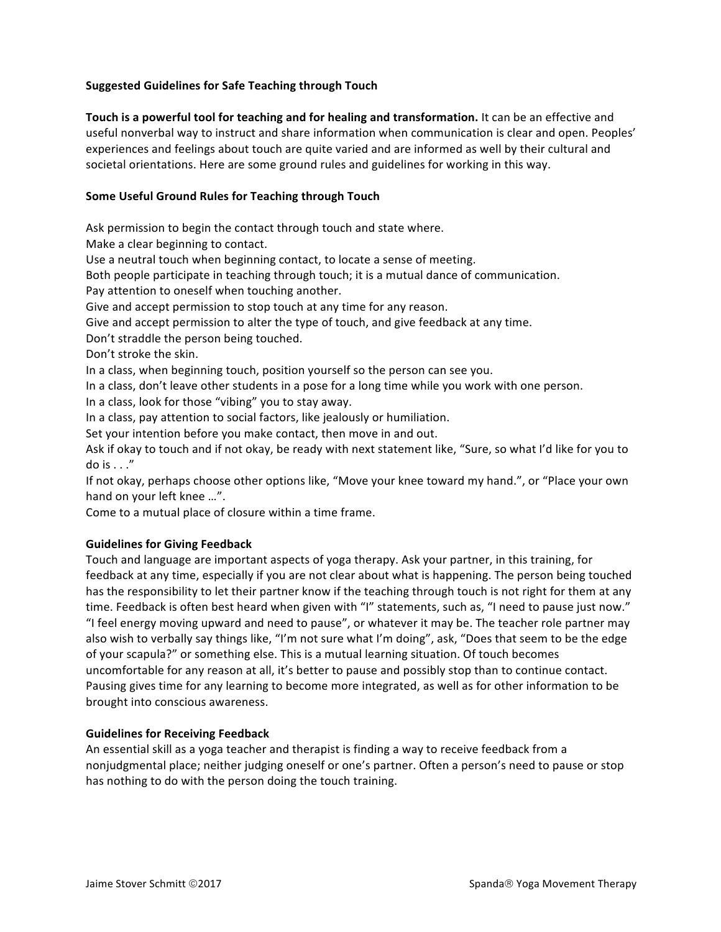# **Suggested Guidelines for Safe Teaching through Touch**

**Touch** is a powerful tool for teaching and for healing and transformation. It can be an effective and useful nonverbal way to instruct and share information when communication is clear and open. Peoples' experiences and feelings about touch are quite varied and are informed as well by their cultural and societal orientations. Here are some ground rules and guidelines for working in this way.

## **Some Useful Ground Rules for Teaching through Touch**

Ask permission to begin the contact through touch and state where.

Make a clear beginning to contact.

Use a neutral touch when beginning contact, to locate a sense of meeting.

Both people participate in teaching through touch; it is a mutual dance of communication.

Pay attention to oneself when touching another.

Give and accept permission to stop touch at any time for any reason.

Give and accept permission to alter the type of touch, and give feedback at any time.

Don't straddle the person being touched.

Don't stroke the skin.

In a class, when beginning touch, position yourself so the person can see you.

In a class, don't leave other students in a pose for a long time while you work with one person.

In a class, look for those "vibing" you to stay away.

In a class, pay attention to social factors, like jealously or humiliation.

Set your intention before you make contact, then move in and out.

Ask if okay to touch and if not okay, be ready with next statement like, "Sure, so what I'd like for you to do is  $\dots$ "

If not okay, perhaps choose other options like, "Move your knee toward my hand.", or "Place your own hand on your left knee ...".

Come to a mutual place of closure within a time frame.

## **Guidelines for Giving Feedback**

Touch and language are important aspects of yoga therapy. Ask your partner, in this training, for feedback at any time, especially if you are not clear about what is happening. The person being touched has the responsibility to let their partner know if the teaching through touch is not right for them at any time. Feedback is often best heard when given with "I" statements, such as, "I need to pause just now." "I feel energy moving upward and need to pause", or whatever it may be. The teacher role partner may also wish to verbally say things like, "I'm not sure what I'm doing", ask, "Does that seem to be the edge of your scapula?" or something else. This is a mutual learning situation. Of touch becomes uncomfortable for any reason at all, it's better to pause and possibly stop than to continue contact. Pausing gives time for any learning to become more integrated, as well as for other information to be brought into conscious awareness.

## **Guidelines for Receiving Feedback**

An essential skill as a yoga teacher and therapist is finding a way to receive feedback from a nonjudgmental place; neither judging oneself or one's partner. Often a person's need to pause or stop has nothing to do with the person doing the touch training.